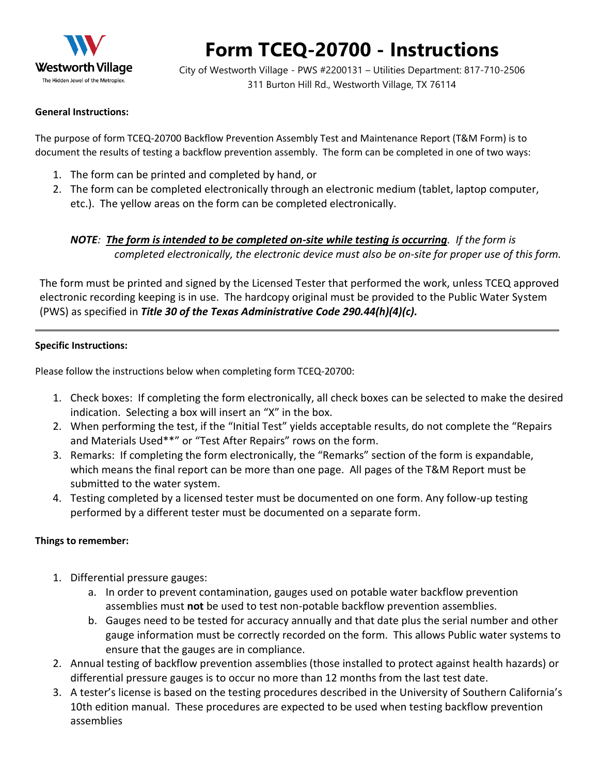

# **Form TCEQ-20700 - Instructions**

City of Westworth Village - PWS #2200131 – Utilities Department: 817-710-2506 311 Burton Hill Rd., Westworth Village, TX 76114

#### **General Instructions:**

The purpose of form TCEQ-20700 Backflow Prevention Assembly Test and Maintenance Report (T&M Form) is to document the results of testing a backflow prevention assembly. The form can be completed in one of two ways:

- 1. The form can be printed and completed by hand, or
- 2. The form can be completed electronically through an electronic medium (tablet, laptop computer, etc.). The yellow areas on the form can be completed electronically.

#### *NOTE: The form is intended to be completed on-site while testing is occurring. If the form is completed electronically, the electronic device must also be on-site for proper use of this form.*

The form must be printed and signed by the Licensed Tester that performed the work, unless TCEQ approved electronic recording keeping is in use. The hardcopy original must be provided to the Public Water System (PWS) as specified in *Title 30 of the Texas Administrative Code 290.44(h)(4)(c).*

#### **Specific Instructions:**

Please follow the instructions below when completing form TCEQ-20700:

- 1. Check boxes: If completing the form electronically, all check boxes can be selected to make the desired indication. Selecting a box will insert an "X" in the box.
- 2. When performing the test, if the "Initial Test" yields acceptable results, do not complete the "Repairs and Materials Used\*\*" or "Test After Repairs" rows on the form.
- 3. Remarks: If completing the form electronically, the "Remarks" section of the form is expandable, which means the final report can be more than one page. All pages of the T&M Report must be submitted to the water system.
- 4. Testing completed by a licensed tester must be documented on one form. Any follow-up testing performed by a different tester must be documented on a separate form.

#### **Things to remember:**

- 1. Differential pressure gauges:
	- a. In order to prevent contamination, gauges used on potable water backflow prevention assemblies must **not** be used to test non-potable backflow prevention assemblies.
	- b. Gauges need to be tested for accuracy annually and that date plus the serial number and other gauge information must be correctly recorded on the form. This allows Public water systems to ensure that the gauges are in compliance.
- 2. Annual testing of backflow prevention assemblies (those installed to protect against health hazards) or differential pressure gauges is to occur no more than 12 months from the last test date.
- 3. A tester's license is based on the testing procedures described in the University of Southern California's 10th edition manual. These procedures are expected to be used when testing backflow prevention assemblies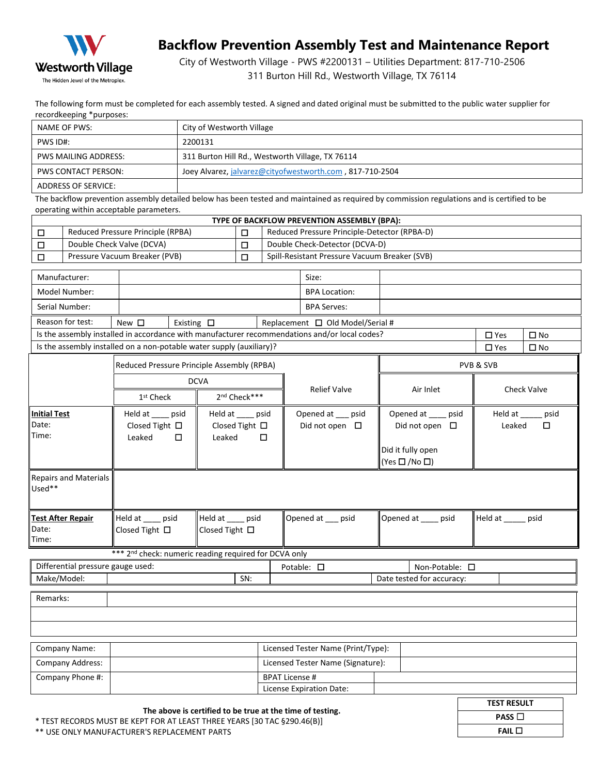

### **Backflow Prevention Assembly Test and Maintenance Report**

City of Westworth Village - PWS #2200131 – Utilities Department: 817-710-2506 311 Burton Hill Rd., Westworth Village, TX 76114

The following form must be completed for each assembly tested. A signed and dated original must be submitted to the public water supplier for recordkeeping \*purposes:

| NAME OF PWS:         | City of Westworth Village                                |
|----------------------|----------------------------------------------------------|
| PWS ID#:             | 2200131                                                  |
| PWS MAILING ADDRESS: | 311 Burton Hill Rd., Westworth Village, TX 76114         |
| PWS CONTACT PERSON:  | Joey Alvarez, jalvarez@cityofwestworth.com, 817-710-2504 |
| ADDRESS OF SERVICE:  |                                                          |

The backflow prevention assembly detailed below has been tested and maintained as required by commission regulations and is certified to be operating within acceptable parameters.

| TYPE OF BACKFLOW PREVENTION ASSEMBLY (BPA):                                                             |                                                        |                                                                      |                    |                                        |                                          |                                                                                               |                                                                 |  |                                   |                    |              |  |
|---------------------------------------------------------------------------------------------------------|--------------------------------------------------------|----------------------------------------------------------------------|--------------------|----------------------------------------|------------------------------------------|-----------------------------------------------------------------------------------------------|-----------------------------------------------------------------|--|-----------------------------------|--------------------|--------------|--|
| □                                                                                                       |                                                        | Reduced Pressure Principle (RPBA)                                    |                    |                                        | □                                        | Reduced Pressure Principle-Detector (RPBA-D)                                                  |                                                                 |  |                                   |                    |              |  |
| □                                                                                                       |                                                        | Double Check Valve (DCVA)                                            |                    |                                        |                                          |                                                                                               | Double Check-Detector (DCVA-D)                                  |  |                                   |                    |              |  |
| Pressure Vacuum Breaker (PVB)<br>□                                                                      |                                                        |                                                                      |                    | П                                      |                                          | Spill-Resistant Pressure Vacuum Breaker (SVB)                                                 |                                                                 |  |                                   |                    |              |  |
| Manufacturer:                                                                                           |                                                        |                                                                      |                    |                                        |                                          | Size:                                                                                         |                                                                 |  |                                   |                    |              |  |
| Model Number:                                                                                           |                                                        |                                                                      |                    |                                        |                                          | <b>BPA Location:</b>                                                                          |                                                                 |  |                                   |                    |              |  |
|                                                                                                         | Serial Number:                                         |                                                                      |                    |                                        |                                          |                                                                                               | <b>BPA Serves:</b>                                              |  |                                   |                    |              |  |
|                                                                                                         | Reason for test:                                       | New $\square$                                                        | Existing $\square$ |                                        |                                          |                                                                                               | Replacement $\Box$ Old Model/Serial #                           |  |                                   |                    |              |  |
|                                                                                                         |                                                        |                                                                      |                    |                                        |                                          | Is the assembly installed in accordance with manufacturer recommendations and/or local codes? |                                                                 |  | $\square$ Yes                     | $\square$ No       |              |  |
|                                                                                                         |                                                        | Is the assembly installed on a non-potable water supply (auxiliary)? |                    |                                        |                                          |                                                                                               |                                                                 |  |                                   | $\square$ Yes      | $\square$ No |  |
|                                                                                                         |                                                        | Reduced Pressure Principle Assembly (RPBA)                           |                    |                                        |                                          |                                                                                               |                                                                 |  | PVB & SVB                         |                    |              |  |
|                                                                                                         |                                                        |                                                                      |                    | <b>DCVA</b>                            |                                          |                                                                                               |                                                                 |  |                                   |                    |              |  |
|                                                                                                         |                                                        | 1 <sup>st</sup> Check                                                |                    |                                        | 2 <sup>nd</sup> Check***                 |                                                                                               | <b>Relief Valve</b>                                             |  | Air Inlet                         | <b>Check Valve</b> |              |  |
| <b>Initial Test</b><br>Held at ___ psid<br>Date:<br>Closed Tight $\square$<br>Time:<br>Leaked<br>$\Box$ |                                                        | Held at ____ psid<br>Closed Tight $\Box$<br>Leaked<br>$\Box$         |                    |                                        | Opened at __ psid<br>Did not open $\Box$ |                                                                                               | Opened at ____ psid<br>Did not open $\Box$<br>Did it fully open |  | Held at _____ psid<br>口<br>Leaked |                    |              |  |
| Used**                                                                                                  | $(Yes \Box / No \Box)$<br><b>Repairs and Materials</b> |                                                                      |                    |                                        |                                          |                                                                                               |                                                                 |  |                                   |                    |              |  |
| Date:<br>Time:                                                                                          | <b>Test After Repair</b>                               | Held at psid<br>Closed Tight $\Box$                                  |                    | Held at psid<br>Closed Tight $\square$ |                                          |                                                                                               | Opened at __ psid                                               |  | Opened at psid                    | Held at _____ psid |              |  |
|                                                                                                         |                                                        | *** 2 <sup>nd</sup> check: numeric reading required for DCVA only    |                    |                                        |                                          |                                                                                               |                                                                 |  |                                   |                    |              |  |
| Differential pressure gauge used:                                                                       |                                                        |                                                                      |                    | Potable: $\square$<br>Non-Potable: □   |                                          |                                                                                               |                                                                 |  |                                   |                    |              |  |
|                                                                                                         | Make/Model:<br>SN:<br>Date tested for accuracy:        |                                                                      |                    |                                        |                                          |                                                                                               |                                                                 |  |                                   |                    |              |  |
| Remarks:                                                                                                |                                                        |                                                                      |                    |                                        |                                          |                                                                                               |                                                                 |  |                                   |                    |              |  |
|                                                                                                         |                                                        |                                                                      |                    |                                        |                                          |                                                                                               |                                                                 |  |                                   |                    |              |  |
|                                                                                                         |                                                        |                                                                      |                    |                                        |                                          |                                                                                               |                                                                 |  |                                   |                    |              |  |
|                                                                                                         | Licensed Tester Name (Print/Type):<br>Company Name:    |                                                                      |                    |                                        |                                          |                                                                                               |                                                                 |  |                                   |                    |              |  |
|                                                                                                         | Company Address:<br>Licensed Tester Name (Signature):  |                                                                      |                    |                                        |                                          |                                                                                               |                                                                 |  |                                   |                    |              |  |
| Company Phone #:                                                                                        |                                                        |                                                                      |                    | <b>BPAT License #</b>                  |                                          |                                                                                               |                                                                 |  |                                   |                    |              |  |

License Expiration Date:

| <b>TEST RESULT</b> |  |
|--------------------|--|
| <b>PASS</b> $\Box$ |  |
| FAIL               |  |
|                    |  |